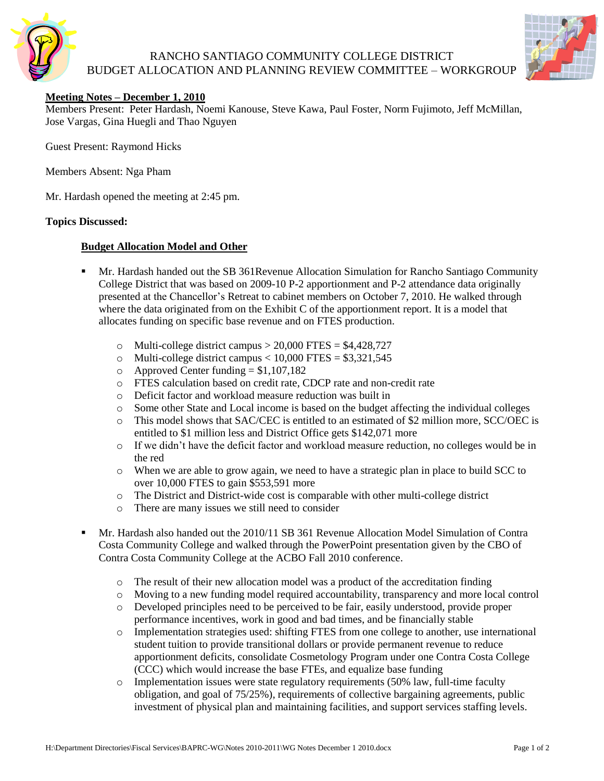

## RANCHO SANTIAGO COMMUNITY COLLEGE DISTRICT BUDGET ALLOCATION AND PLANNING REVIEW COMMITTEE – WORKGROUP



## **Meeting Notes – December 1, 2010**

Members Present: Peter Hardash, Noemi Kanouse, Steve Kawa, Paul Foster, Norm Fujimoto, Jeff McMillan, Jose Vargas, Gina Huegli and Thao Nguyen

Guest Present: Raymond Hicks

Members Absent: Nga Pham

Mr. Hardash opened the meeting at 2:45 pm.

#### **Topics Discussed:**

### **Budget Allocation Model and Other**

- Mr. Hardash handed out the SB 361Revenue Allocation Simulation for Rancho Santiago Community College District that was based on 2009-10 P-2 apportionment and P-2 attendance data originally presented at the Chancellor's Retreat to cabinet members on October 7, 2010. He walked through where the data originated from on the Exhibit C of the apportionment report. It is a model that allocates funding on specific base revenue and on FTES production.
	- o Multi-college district campus  $> 20,000$  FTES = \$4,428,727
	- o Multi-college district campus  $< 10,000$  FTES = \$3,321,545
	- $\circ$  Approved Center funding = \$1,107,182
	- o FTES calculation based on credit rate, CDCP rate and non-credit rate
	- o Deficit factor and workload measure reduction was built in
	- o Some other State and Local income is based on the budget affecting the individual colleges
	- o This model shows that SAC/CEC is entitled to an estimated of \$2 million more, SCC/OEC is entitled to \$1 million less and District Office gets \$142,071 more
	- o If we didn't have the deficit factor and workload measure reduction, no colleges would be in the red
	- o When we are able to grow again, we need to have a strategic plan in place to build SCC to over 10,000 FTES to gain \$553,591 more
	- o The District and District-wide cost is comparable with other multi-college district
	- o There are many issues we still need to consider
- Mr. Hardash also handed out the 2010/11 SB 361 Revenue Allocation Model Simulation of Contra Costa Community College and walked through the PowerPoint presentation given by the CBO of Contra Costa Community College at the ACBO Fall 2010 conference.
	- o The result of their new allocation model was a product of the accreditation finding
	- o Moving to a new funding model required accountability, transparency and more local control
	- o Developed principles need to be perceived to be fair, easily understood, provide proper performance incentives, work in good and bad times, and be financially stable
	- o Implementation strategies used: shifting FTES from one college to another, use international student tuition to provide transitional dollars or provide permanent revenue to reduce apportionment deficits, consolidate Cosmetology Program under one Contra Costa College (CCC) which would increase the base FTEs, and equalize base funding
	- $\circ$  Implementation issues were state regulatory requirements (50% law, full-time faculty obligation, and goal of 75/25%), requirements of collective bargaining agreements, public investment of physical plan and maintaining facilities, and support services staffing levels.